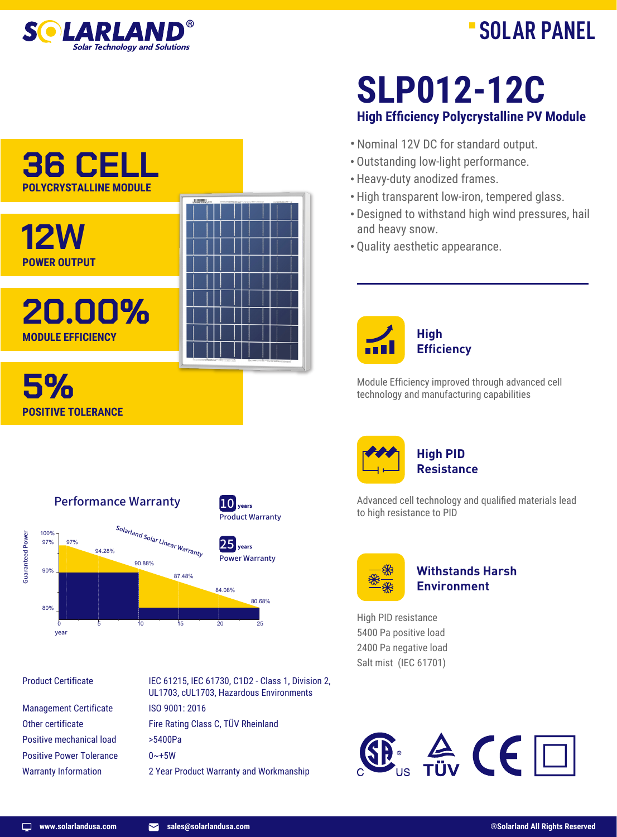

## **SOLAR PANEL**



Performance Warranty

90.88%

0 5 10 15 20 25

Solarland Solar Linear Warranty

87.48%

94.28%



**High Efficiency Polycrystalline PV Module SLP012-12C**

- · Nominal 12V DC for standard output.
- · Outstanding low-light performance.
- · Heavy-duty anodized frames.
- · High transparent low-iron, tempered glass.
- · Designed to withstand high wind pressures, hail and heavy snow.
- · Quality aesthetic appearance.



Module Efficiency improved through advanced cell technology and manufacturing capabilities



Advanced cell technology and qualified materials lead to high resistance to PID



## **Withstands Harsh Environment**

High PID resistance 5400 Pa positive load 2400 Pa negative load Salt mist (IEC 61701)



Product Certificate

year

Guaranteed Power

**Guaranteed Power** 

100% 97% 97%

**POWER OUTPUT**

**MODULE EFFICIENCY**

**POSITIVE TOLERANCE**

**5%**

90%

80%

Management Certificate Other certificate Positive mechanical load Positive Power Tolerance Warranty Information

IEC 61215, IEC 61730, C1D2 - Class 1, Division 2, UL1703, cUL1703, Hazardous Environments ISO 9001: 2016 Fire Rating Class C, TÜV Rheinland >5400Pa  $0 \sim +5W$ 2 Year Product Warranty and Workmanship

Product Warranty  $10$   $_{\text{years}}$ 

Power Warranty  $25$ <sub>years</sub>

80.68%

84.08%